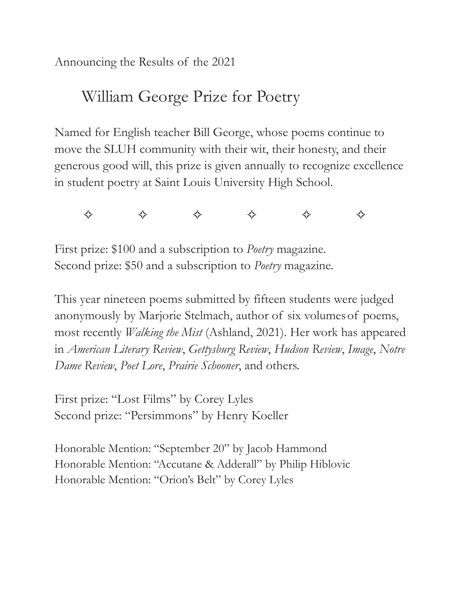Announcing the Results of the 2021

## William George Prize for Poetry

Named for English teacher Bill George, whose poems continue to move the SLUH community with their wit, their honesty, and their generous good will, this prize is given annually to recognize excellence in student poetry at Saint Louis University High School.

✧ ✧ ✧ ✧ ✧ ✧

First prize: \$100 and a subscription to *Poetry* magazine. Second prize: \$50 and a subscription to *Poetry* magazine.

This year nineteen poems submitted by fifteen students were judged anonymously by Marjorie Stelmach, author of six volumes of poems, most recently *Walking the Mist* (Ashland, 2021). Her work has appeared in *American Literary Review*, *Gettysburg Review*, *Hudson Review*, *Image*, *Notre Dame Review*, *Poet Lore*, *Prairie Schooner*, and others.

First prize: "Lost Films" by Corey Lyles Second prize: "Persimmons" by Henry Koeller

Honorable Mention: "September 20" by Jacob Hammond Honorable Mention: "Accutane & Adderall" by Philip Hiblovic Honorable Mention: "Orion's Belt" by Corey Lyles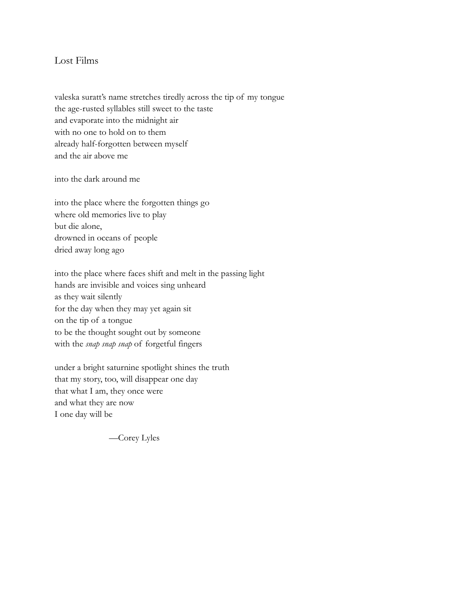## Lost Films

valeska suratt's name stretches tiredly across the tip of my tongue the age-rusted syllables still sweet to the taste and evaporate into the midnight air with no one to hold on to them already half-forgotten between myself and the air above me

into the dark around me

into the place where the forgotten things go where old memories live to play but die alone, drowned in oceans of people dried away long ago

into the place where faces shift and melt in the passing light hands are invisible and voices sing unheard as they wait silently for the day when they may yet again sit on the tip of a tongue to be the thought sought out by someone with the *snap snap snap* of forgetful fingers

under a bright saturnine spotlight shines the truth that my story, too, will disappear one day that what I am, they once were and what they are now I one day will be

—Corey Lyles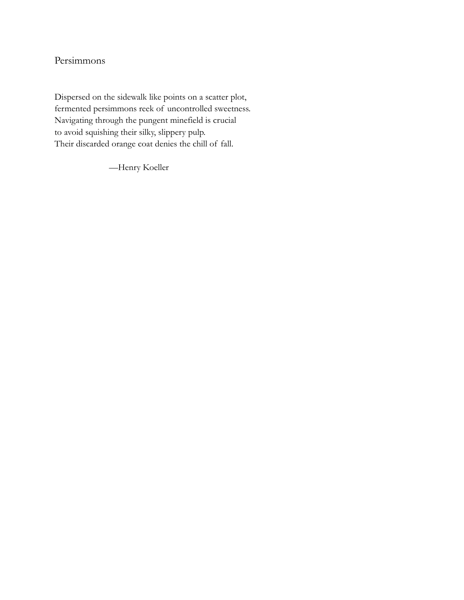## Persimmons

Dispersed on the sidewalk like points on a scatter plot, fermented persimmons reek of uncontrolled sweetness. Navigating through the pungent minefield is crucial to avoid squishing their silky, slippery pulp. Their discarded orange coat denies the chill of fall.

—Henry Koeller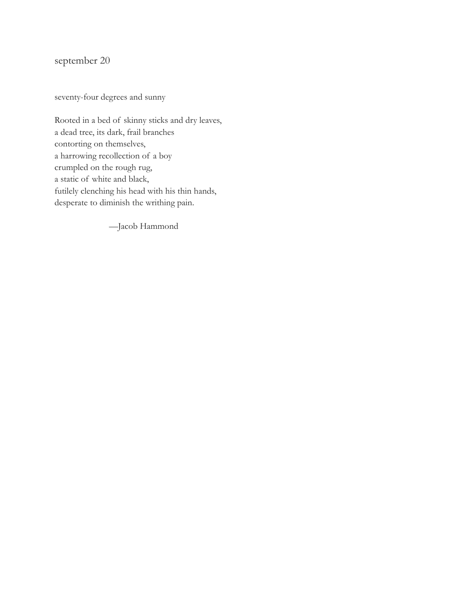september 20

seventy-four degrees and sunny

Rooted in a bed of skinny sticks and dry leaves, a dead tree, its dark, frail branches contorting on themselves, a harrowing recollection of a boy crumpled on the rough rug, a static of white and black, futilely clenching his head with his thin hands, desperate to diminish the writhing pain.

—Jacob Hammond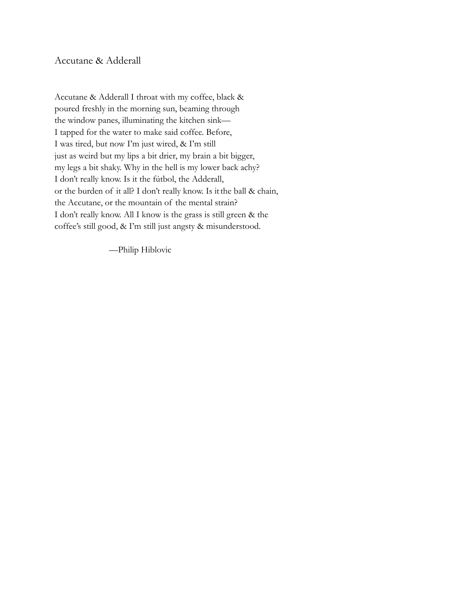Accutane & Adderall

Accutane & Adderall I throat with my coffee, black & poured freshly in the morning sun, beaming through the window panes, illuminating the kitchen sink— I tapped for the water to make said coffee. Before, I was tired, but now I'm just wired, & I'm still just as weird but my lips a bit drier, my brain a bit bigger, my legs a bit shaky. Why in the hell is my lower back achy? I don't really know. Is it the fútbol, the Adderall, or the burden of it all? I don't really know. Is itthe ball & chain, the Accutane, or the mountain of the mental strain? I don't really know. All I know is the grass is still green & the coffee's still good, & I'm still just angsty & misunderstood.

—Philip Hiblovic